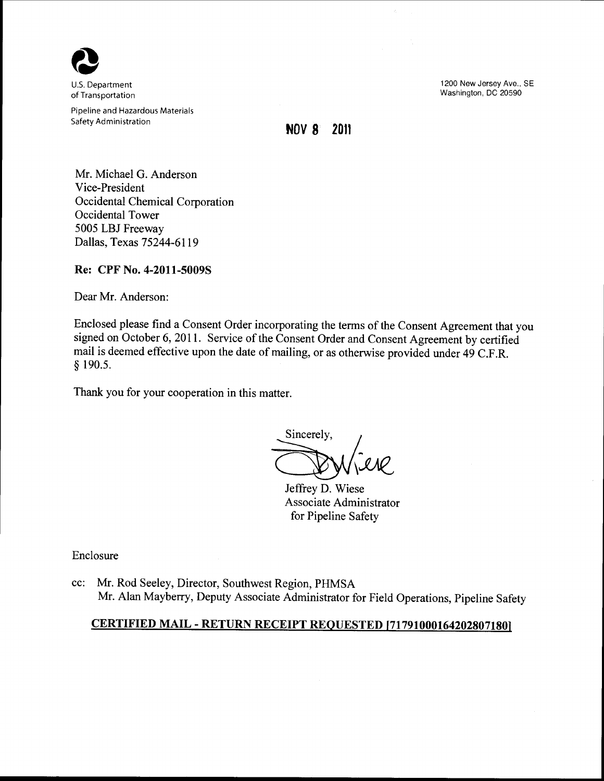

U.S. Department of Transportation

Pipeline and Hazardous Materials Safety Administration

1200 New Jersey Ave., SE Washington, DC 20590

**NOV 8 2011** 

Mr. Michael G. Anderson Vice-President Occidental Chemical Corporation Occidental Tower 5005 LBJ Freeway Dallas, Texas 75244-6119

## **Re: CPF No. 4-2011-50098**

Dear Mr. Anderson:

Enclosed please find a Consent Order incorporating the terms of the Consent Agreement that you signed on October 6, 2011. Service of the Consent Order and Consent Agreement by certified mail is deemed effective upon the date of mailing, or as otherwise provided under 49 C.F.R. § 190.5.

Thank you for your cooperation in this matter.

Sincerely,

Jeffrey D. Wiese Associate Administrator for Pipeline Safety

Enclosure

cc: Mr. Rod Seeley, Director, Southwest Region, PHMSA Mr. Alan Mayberry, Deputy Associate Administrator for Field Operations, Pipeline Safety

## **CERTIFIED MAIL -RETURN RECEIPT REQUESTED [717910001642028071801**